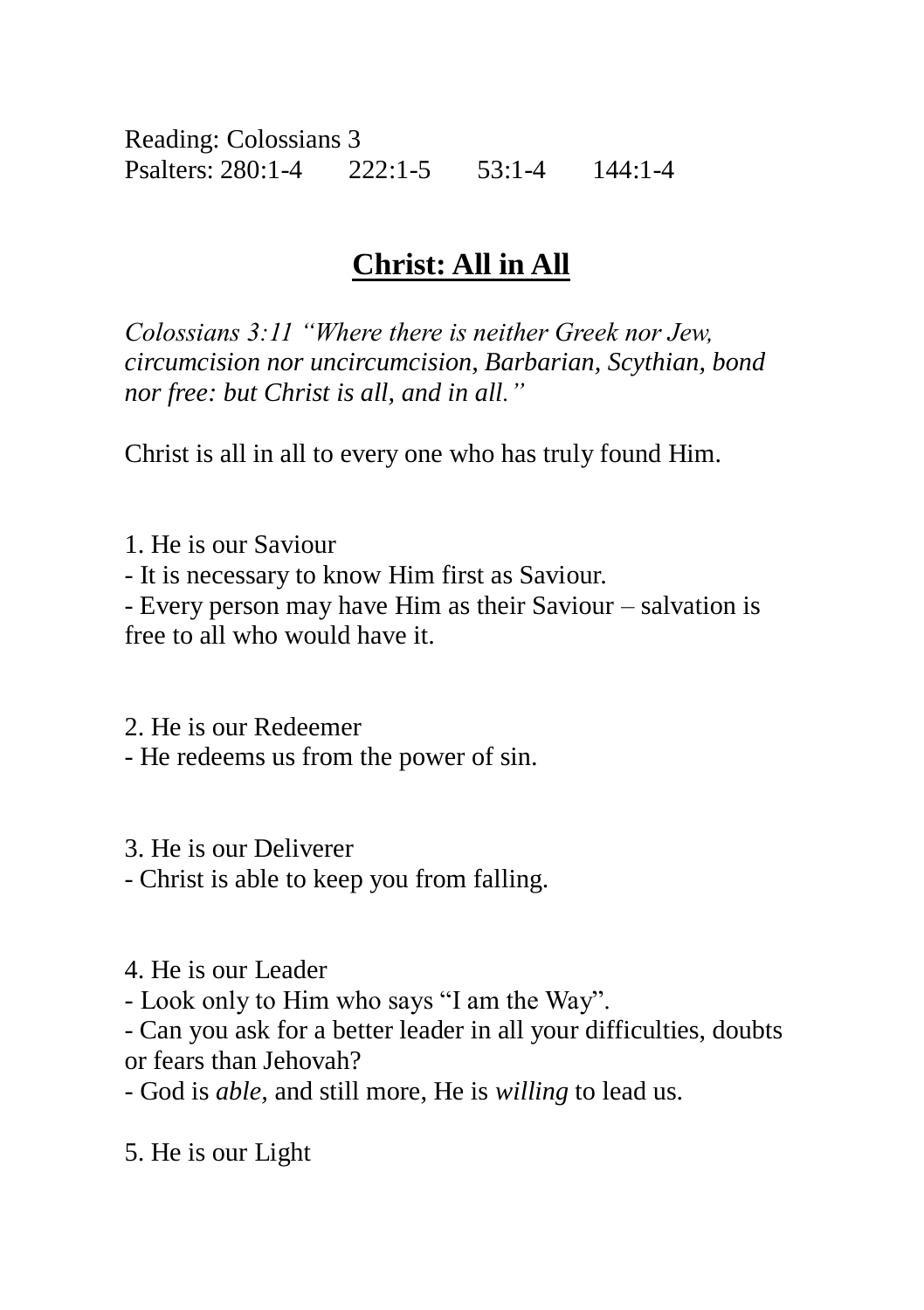Reading: Colossians 3 Psalters: 280:1-4 222:1-5 53:1-4 144:1-4

## **Christ: All in All**

*Colossians 3:11 "Where there is neither Greek nor Jew, circumcision nor uncircumcision, Barbarian, Scythian, bond nor free: but Christ is all, and in all."*

Christ is all in all to every one who has truly found Him.

1. He is our Saviour - It is necessary to know Him first as Saviour. - Every person may have Him as their Saviour – salvation is free to all who would have it.

2. He is our Redeemer - He redeems us from the power of sin.

3. He is our Deliverer

- Christ is able to keep you from falling.

4. He is our Leader

- Look only to Him who says "I am the Way".

- Can you ask for a better leader in all your difficulties, doubts or fears than Jehovah?

- God is *able,* and still more, He is *willing* to lead us.

5. He is our Light